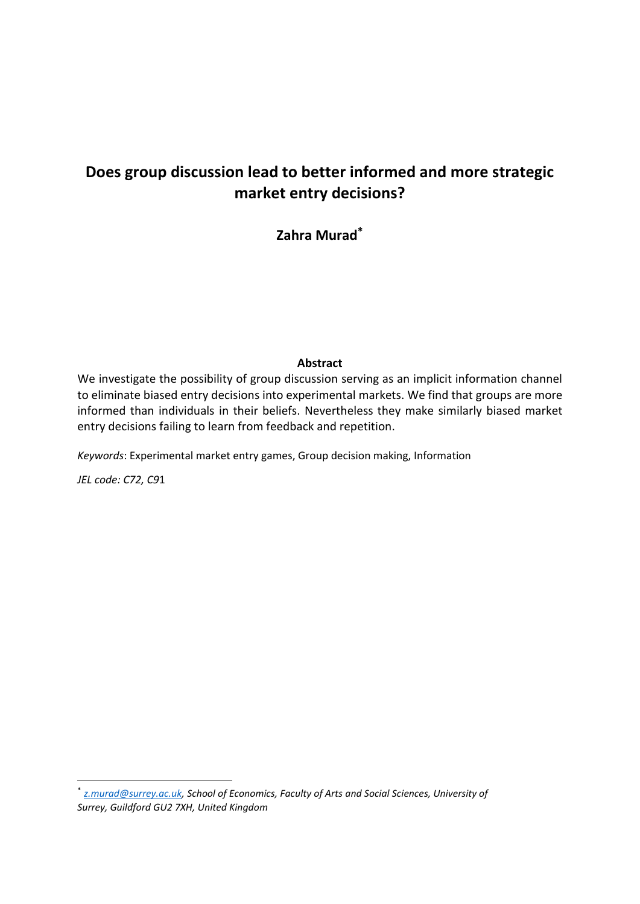# **Does group discussion lead to better informed and more strategic market entry decisions?**

**Zahra Murad\***

## **Abstract**

We investigate the possibility of group discussion serving as an implicit information channel to eliminate biased entry decisions into experimental markets. We find that groups are more informed than individuals in their beliefs. Nevertheless they make similarly biased market entry decisions failing to learn from feedback and repetition.

*Keywords*: Experimental market entry games, Group decision making, Information

*JEL code: C72, C9*1

 $\overline{a}$ 

\* *[z.murad@surrey.ac.uk,](mailto:z.murad@surrey.ac.uk) School of Economics, Faculty of Arts and Social Sciences, University of Surrey, Guildford GU2 7XH, United Kingdom*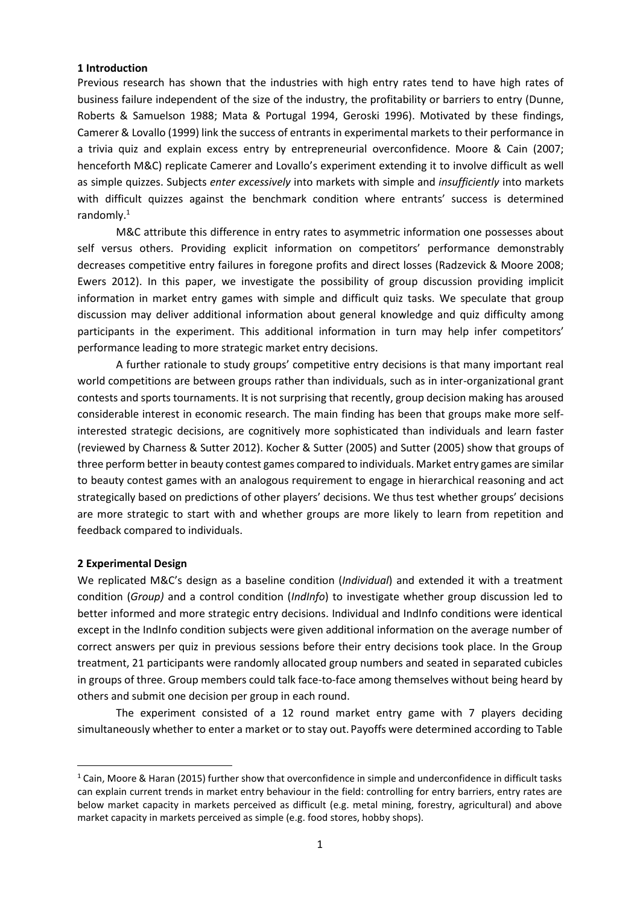### **1 Introduction**

Previous research has shown that the industries with high entry rates tend to have high rates of business failure independent of the size of the industry, the profitability or barriers to entry (Dunne, Roberts & Samuelson 1988; Mata & Portugal 1994, Geroski 1996). Motivated by these findings, Camerer & Lovallo (1999) link the success of entrants in experimental markets to their performance in a trivia quiz and explain excess entry by entrepreneurial overconfidence. Moore & Cain (2007; henceforth M&C) replicate Camerer and Lovallo's experiment extending it to involve difficult as well as simple quizzes. Subjects *enter excessively* into markets with simple and *insufficiently* into markets with difficult quizzes against the benchmark condition where entrants' success is determined randomly.<sup>1</sup>

M&C attribute this difference in entry rates to asymmetric information one possesses about self versus others. Providing explicit information on competitors' performance demonstrably decreases competitive entry failures in foregone profits and direct losses (Radzevick & Moore 2008; Ewers 2012). In this paper, we investigate the possibility of group discussion providing implicit information in market entry games with simple and difficult quiz tasks. We speculate that group discussion may deliver additional information about general knowledge and quiz difficulty among participants in the experiment. This additional information in turn may help infer competitors' performance leading to more strategic market entry decisions.

A further rationale to study groups' competitive entry decisions is that many important real world competitions are between groups rather than individuals, such as in inter-organizational grant contests and sports tournaments. It is not surprising that recently, group decision making has aroused considerable interest in economic research. The main finding has been that groups make more selfinterested strategic decisions, are cognitively more sophisticated than individuals and learn faster (reviewed by Charness & Sutter 2012). Kocher & Sutter (2005) and Sutter (2005) show that groups of three perform better in beauty contest games compared to individuals. Market entry games are similar to beauty contest games with an analogous requirement to engage in hierarchical reasoning and act strategically based on predictions of other players' decisions. We thus test whether groups' decisions are more strategic to start with and whether groups are more likely to learn from repetition and feedback compared to individuals.

### **2 Experimental Design**

**.** 

We replicated M&C's design as a baseline condition (*Individual*) and extended it with a treatment condition (*Group)* and a control condition (*IndInfo*) to investigate whether group discussion led to better informed and more strategic entry decisions. Individual and IndInfo conditions were identical except in the IndInfo condition subjects were given additional information on the average number of correct answers per quiz in previous sessions before their entry decisions took place. In the Group treatment, 21 participants were randomly allocated group numbers and seated in separated cubicles in groups of three. Group members could talk face-to-face among themselves without being heard by others and submit one decision per group in each round.

The experiment consisted of a 12 round market entry game with 7 players deciding simultaneously whether to enter a market or to stay out. Payoffs were determined according to Table

 $1$  Cain, Moore & Haran (2015) further show that overconfidence in simple and underconfidence in difficult tasks can explain current trends in market entry behaviour in the field: controlling for entry barriers, entry rates are below market capacity in markets perceived as difficult (e.g. metal mining, forestry, agricultural) and above market capacity in markets perceived as simple (e.g. food stores, hobby shops).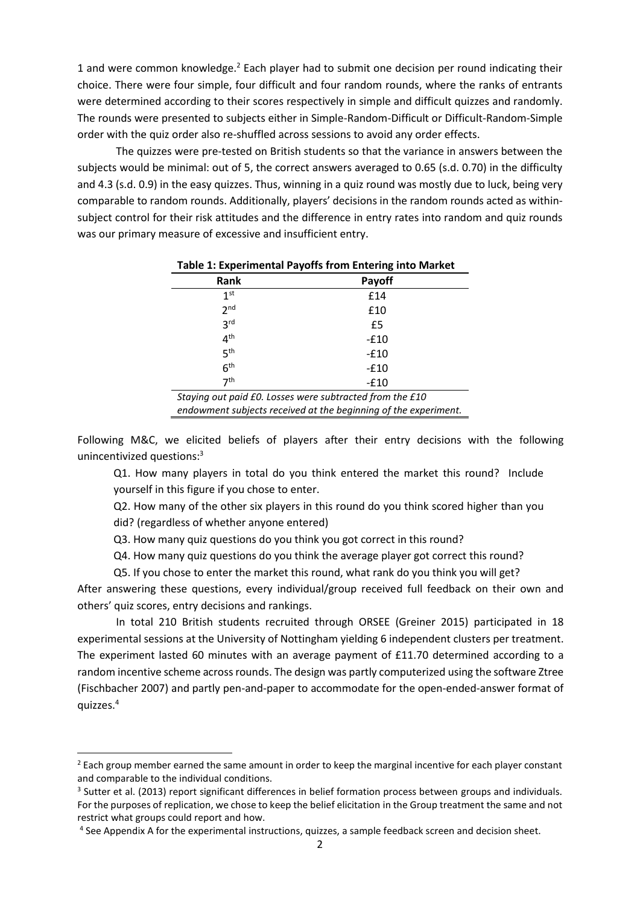1 and were common knowledge. <sup>2</sup> Each player had to submit one decision per round indicating their choice. There were four simple, four difficult and four random rounds, where the ranks of entrants were determined according to their scores respectively in simple and difficult quizzes and randomly. The rounds were presented to subjects either in Simple-Random-Difficult or Difficult-Random-Simple order with the quiz order also re-shuffled across sessions to avoid any order effects.

The quizzes were pre-tested on British students so that the variance in answers between the subjects would be minimal: out of 5, the correct answers averaged to 0.65 (s.d. 0.70) in the difficulty and 4.3 (s.d. 0.9) in the easy quizzes. Thus, winning in a quiz round was mostly due to luck, being very comparable to random rounds. Additionally, players' decisions in the random rounds acted as withinsubject control for their risk attitudes and the difference in entry rates into random and quiz rounds was our primary measure of excessive and insufficient entry.

| Rank                                                     | Payoff |  |  |  |  |
|----------------------------------------------------------|--------|--|--|--|--|
| 1 <sup>st</sup>                                          | £14    |  |  |  |  |
| 2 <sub>nd</sub>                                          | £10    |  |  |  |  |
| 3 <sup>rd</sup>                                          | £5     |  |  |  |  |
| 4 <sup>th</sup>                                          | $-£10$ |  |  |  |  |
| 5 <sup>th</sup>                                          | $-£10$ |  |  |  |  |
| 6 <sup>th</sup>                                          | $-£10$ |  |  |  |  |
| 7 <sup>th</sup>                                          | $-£10$ |  |  |  |  |
| Ctaying out poid CO, Locace ware cubtracted from the C10 |        |  |  |  |  |

**Table 1: Experimental Payoffs from Entering into Market**

*Staying out paid £0. Losses were subtracted from the £10 endowment subjects received at the beginning of the experiment.*

Following M&C, we elicited beliefs of players after their entry decisions with the following unincentivized questions:<sup>3</sup>

Q1. How many players in total do you think entered the market this round? Include yourself in this figure if you chose to enter.

Q2. How many of the other six players in this round do you think scored higher than you did? (regardless of whether anyone entered)

Q3. How many quiz questions do you think you got correct in this round?

Q4. How many quiz questions do you think the average player got correct this round?

Q5. If you chose to enter the market this round, what rank do you think you will get?

After answering these questions, every individual/group received full feedback on their own and others' quiz scores, entry decisions and rankings.

In total 210 British students recruited through ORSEE (Greiner 2015) participated in 18 experimental sessions at the University of Nottingham yielding 6 independent clusters per treatment. The experiment lasted 60 minutes with an average payment of £11.70 determined according to a random incentive scheme across rounds. The design was partly computerized using the software Ztree (Fischbacher 2007) and partly pen-and-paper to accommodate for the open-ended-answer format of quizzes.<sup>4</sup>

1

<sup>&</sup>lt;sup>2</sup> Each group member earned the same amount in order to keep the marginal incentive for each player constant and comparable to the individual conditions.

<sup>&</sup>lt;sup>3</sup> Sutter et al. (2013) report significant differences in belief formation process between groups and individuals. For the purposes of replication, we chose to keep the belief elicitation in the Group treatment the same and not restrict what groups could report and how.

<sup>&</sup>lt;sup>4</sup> See Appendix A for the experimental instructions, quizzes, a sample feedback screen and decision sheet.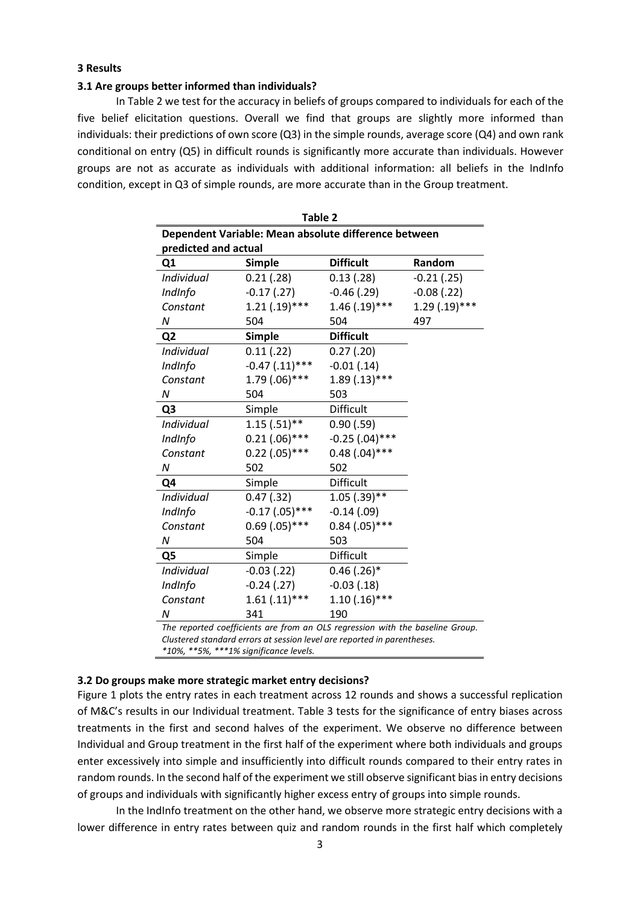#### **3 Results**

#### **3.1 Are groups better informed than individuals?**

In Table 2 we test for the accuracy in beliefs of groups compared to individuals for each of the five belief elicitation questions. Overall we find that groups are slightly more informed than individuals: their predictions of own score (Q3) in the simple rounds, average score (Q4) and own rank conditional on entry (Q5) in difficult rounds is significantly more accurate than individuals. However groups are not as accurate as individuals with additional information: all beliefs in the IndInfo condition, except in Q3 of simple rounds, are more accurate than in the Group treatment.

| Table 2                                                                       |                     |                  |                 |  |  |  |
|-------------------------------------------------------------------------------|---------------------|------------------|-----------------|--|--|--|
| Dependent Variable: Mean absolute difference between                          |                     |                  |                 |  |  |  |
| predicted and actual                                                          |                     |                  |                 |  |  |  |
| Q <sub>1</sub>                                                                | <b>Simple</b>       | <b>Difficult</b> | Random          |  |  |  |
| Individual                                                                    | 0.21(0.28)          | 0.13(0.28)       | $-0.21$ (.25)   |  |  |  |
| IndInfo                                                                       | $-0.17(0.27)$       | $-0.46$ (.29)    | $-0.08$ $(.22)$ |  |  |  |
| Constant                                                                      | $1.21(.19)***$      | $1.46$ (.19)***  | $1.29(.19)$ *** |  |  |  |
| N                                                                             | 504                 | 504              | 497             |  |  |  |
| Q <sub>2</sub>                                                                | <b>Simple</b>       | <b>Difficult</b> |                 |  |  |  |
| Individual                                                                    | 0.11(0.22)          | 0.27(0.20)       |                 |  |  |  |
| IndInfo                                                                       | $-0.47$ $(.11)$ *** | $-0.01(0.14)$    |                 |  |  |  |
| Constant                                                                      | $1.79(.06)***$      | $1.89(.13)***$   |                 |  |  |  |
| N                                                                             | 504                 | 503              |                 |  |  |  |
| Q <sub>3</sub>                                                                | Simple              | Difficult        |                 |  |  |  |
| <b>Individual</b>                                                             | $1.15(.51)$ **      | 0.90(0.59)       |                 |  |  |  |
| IndInfo                                                                       | $0.21(.06)***$      | $-0.25$ (.04)*** |                 |  |  |  |
| Constant                                                                      | $0.22$ (.05)***     | $0.48(.04)$ ***  |                 |  |  |  |
| N                                                                             | 502                 | 502              |                 |  |  |  |
| Q4                                                                            | Simple              | Difficult        |                 |  |  |  |
| Individual                                                                    | $0.47$ $(.32)$      | $1.05$ (.39)**   |                 |  |  |  |
| IndInfo                                                                       | $-0.17$ $(.05)$ *** | $-0.14(0.09)$    |                 |  |  |  |
| Constant                                                                      | $0.69$ $(.05)$ ***  | $0.84$ (.05)***  |                 |  |  |  |
| N                                                                             | 504                 | 503              |                 |  |  |  |
| Q <sub>5</sub>                                                                | Simple              | <b>Difficult</b> |                 |  |  |  |
| Individual                                                                    | $-0.03$ (.22)       | $0.46$ (.26)*    |                 |  |  |  |
| IndInfo                                                                       | $-0.24$ $(.27)$     | $-0.03(0.18)$    |                 |  |  |  |
| Constant                                                                      | $1.61(.11)***$      | $1.10(.16)$ ***  |                 |  |  |  |
| Ν                                                                             | 341                 | 190              |                 |  |  |  |
| The reported coefficients are from an OLS regression with the baseline Group. |                     |                  |                 |  |  |  |

*Clustered standard errors at session level are reported in parentheses.* 

*\*10%, \*\*5%, \*\*\*1% significance levels.*

### **3.2 Do groups make more strategic market entry decisions?**

Figure 1 plots the entry rates in each treatment across 12 rounds and shows a successful replication of M&C's results in our Individual treatment. Table 3 tests for the significance of entry biases across treatments in the first and second halves of the experiment. We observe no difference between Individual and Group treatment in the first half of the experiment where both individuals and groups enter excessively into simple and insufficiently into difficult rounds compared to their entry rates in random rounds. In the second half of the experiment we still observe significant bias in entry decisions of groups and individuals with significantly higher excess entry of groups into simple rounds.

In the IndInfo treatment on the other hand, we observe more strategic entry decisions with a lower difference in entry rates between quiz and random rounds in the first half which completely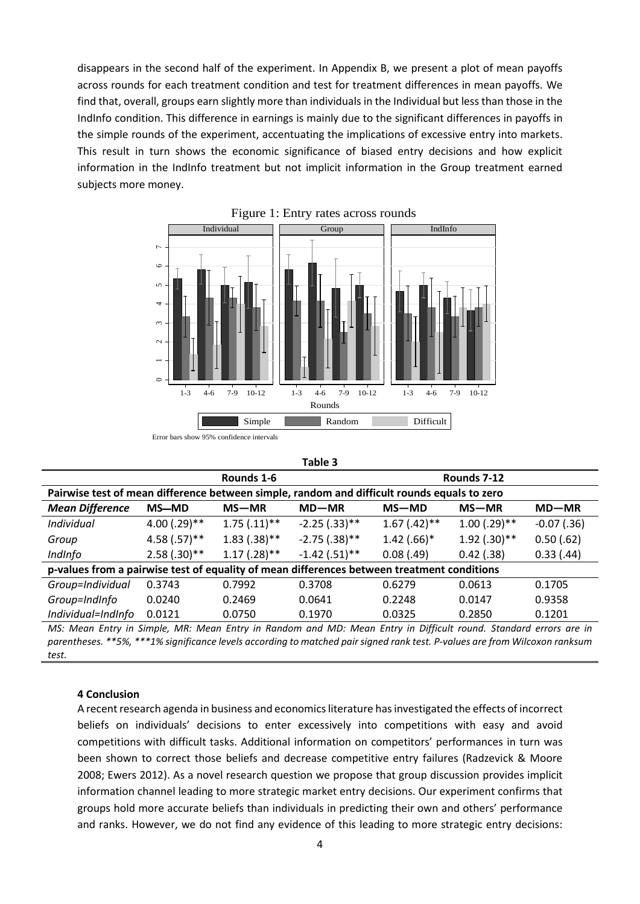disappears in the second half of the experiment. In Appendix B, we present a plot of mean payoffs across rounds for each treatment condition and test for treatment differences in mean payoffs. We find that, overall, groups earn slightly more than individuals in the Individual but less than those in the IndInfo condition. This difference in earnings is mainly due to the significant differences in payoffs in the simple rounds of the experiment, accentuating the implications of excessive entry into markets. This result in turn shows the economic significance of biased entry decisions and how explicit information in the IndInfo treatment but not implicit information in the Group treatment earned subjects more money.



**Table 3**

|                                                                                                                  |                | Rounds 1-6     |                 | Rounds 7-12    |                |               |  |
|------------------------------------------------------------------------------------------------------------------|----------------|----------------|-----------------|----------------|----------------|---------------|--|
| Pairwise test of mean difference between simple, random and difficult rounds equals to zero                      |                |                |                 |                |                |               |  |
| <b>Mean Difference</b>                                                                                           | <b>MS-MD</b>   | $MS-MR$        | $MD-MR$         | $MS-MD$        | $MS-MR$        | $MD-MR$       |  |
| Individual                                                                                                       | $4.00(.29)$ ** | $1.75(.11)$ ** | $-2.25(.33)$ ** | $1.67$ (.42)** | $1.00$ (.29)** | $-0.07$ (.36) |  |
| Group                                                                                                            | $4.58(.57)$ ** | $1.83(.38)$ ** | $-2.75(.38)$ ** | $1.42(.66)*$   | $1.92(.30)$ ** | 0.50(0.62)    |  |
| IndInfo                                                                                                          | $2.58(.30)$ ** | $1.17(.28)$ ** | $-1.42(.51)$ ** | 0.08(0.49)     | $0.42$ (.38)   | 0.33(0.44)    |  |
| p-values from a pairwise test of equality of mean differences between treatment conditions                       |                |                |                 |                |                |               |  |
| Group=Individual                                                                                                 | 0.3743         | 0.7992         | 0.3708          | 0.6279         | 0.0613         | 0.1705        |  |
| Group=IndInfo                                                                                                    | 0.0240         | 0.2469         | 0.0641          | 0.2248         | 0.0147         | 0.9358        |  |
| Individual=IndInfo                                                                                               | 0.0121         | 0.0750         | 0.1970          | 0.0325         | 0.2850         | 0.1201        |  |
| MC: Mean Entry in Simple, MP: Mean Entry in Random and MD: Mean Entry in Difficult round, Standard errors are in |                |                |                 |                |                |               |  |

*MS: Mean Entry in Simple, MR: Mean Entry in Random and MD: Mean Entry in Difficult round. Standard errors are in parentheses. \*\*5%, \*\*\*1% significance levels according to matched pair signed rank test. P-values are from Wilcoxon ranksum test.*

### **4 Conclusion**

A recent research agenda in business and economics literature has investigated the effects of incorrect beliefs on individuals' decisions to enter excessively into competitions with easy and avoid competitions with difficult tasks. Additional information on competitors' performances in turn was been shown to correct those beliefs and decrease competitive entry failures (Radzevick & Moore 2008; Ewers 2012). As a novel research question we propose that group discussion provides implicit information channel leading to more strategic market entry decisions. Our experiment confirms that groups hold more accurate beliefs than individuals in predicting their own and others' performance and ranks. However, we do not find any evidence of this leading to more strategic entry decisions: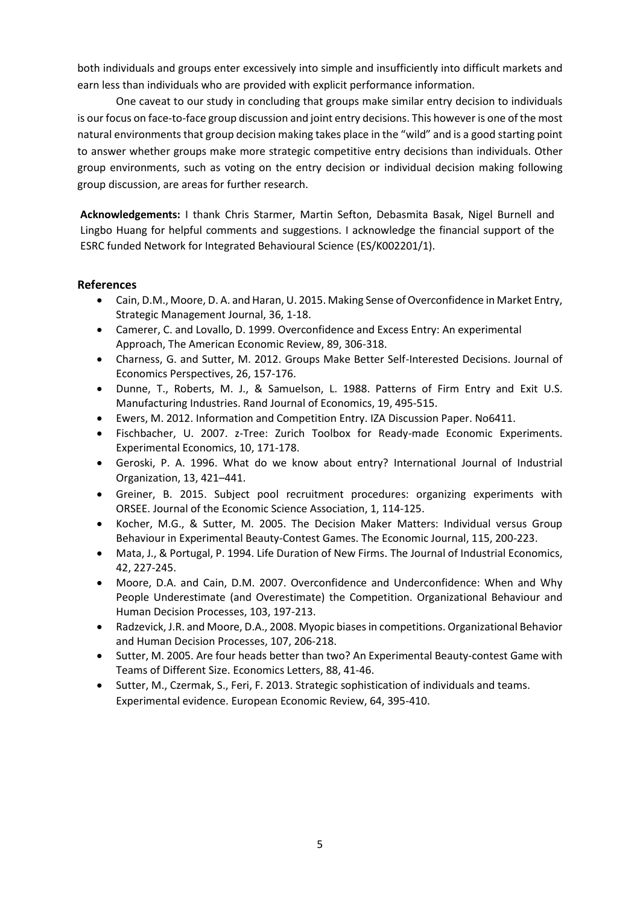both individuals and groups enter excessively into simple and insufficiently into difficult markets and earn less than individuals who are provided with explicit performance information.

One caveat to our study in concluding that groups make similar entry decision to individuals is our focus on face-to-face group discussion and joint entry decisions. This however is one of the most natural environments that group decision making takes place in the "wild" and is a good starting point to answer whether groups make more strategic competitive entry decisions than individuals. Other group environments, such as voting on the entry decision or individual decision making following group discussion, are areas for further research.

**Acknowledgements:** I thank Chris Starmer, Martin Sefton, Debasmita Basak, Nigel Burnell and Lingbo Huang for helpful comments and suggestions. I acknowledge the financial support of the ESRC funded Network for Integrated Behavioural Science (ES/K002201/1).

## **References**

- Cain, D.M., Moore, D. A. and Haran, U. 2015. Making Sense of Overconfidence in Market Entry, Strategic Management Journal, 36, 1-18.
- Camerer, C. and Lovallo, D. 1999. Overconfidence and Excess Entry: An experimental Approach, The American Economic Review, 89, 306-318.
- Charness, G. and Sutter, M. 2012. Groups Make Better Self-Interested Decisions. Journal of Economics Perspectives, 26, 157-176.
- Dunne, T., Roberts, M. J., & Samuelson, L. 1988. Patterns of Firm Entry and Exit U.S. Manufacturing Industries. Rand Journal of Economics, 19, 495-515.
- Ewers, M. 2012. Information and Competition Entry. IZA Discussion Paper. No6411.
- Fischbacher, U. 2007. z-Tree: Zurich Toolbox for Ready-made Economic Experiments. [Experimental Economics,](http://link.springer.com/journal/10683) 10, 171-178.
- Geroski, P. A. 1996. What do we know about entry? International Journal of Industrial Organization, 13, 421–441.
- Greiner, B. 2015. Subject pool recruitment procedures: organizing experiments with ORSEE. Journal of the Economic Science Association, 1, 114-125.
- Kocher, M.G., & Sutter, M. 2005. The Decision Maker Matters: Individual versus Group Behaviour in Experimental Beauty‐Contest Games. The Economic Journal, 115, 200-223.
- Mata, J., & Portugal, P. 1994. Life Duration of New Firms. The Journal of Industrial Economics, 42, 227-245.
- Moore, D.A. and Cain, D.M. 2007. Overconfidence and Underconfidence: When and Why People Underestimate (and Overestimate) the Competition. Organizational Behaviour and Human Decision Processes, 103, 197-213.
- Radzevick, J.R. and Moore, D.A., 2008. Myopic biases in competitions. Organizational Behavior and Human Decision Processes, 107, 206-218.
- Sutter, M. 2005. Are four heads better than two? An Experimental Beauty-contest Game with Teams of Different Size. Economics Letters, 88, 41-46.
- Sutter, M., Czermak, S., Feri, F. 2013. Strategic sophistication of individuals and teams. Experimental evidence. European Economic Review, 64, 395-410.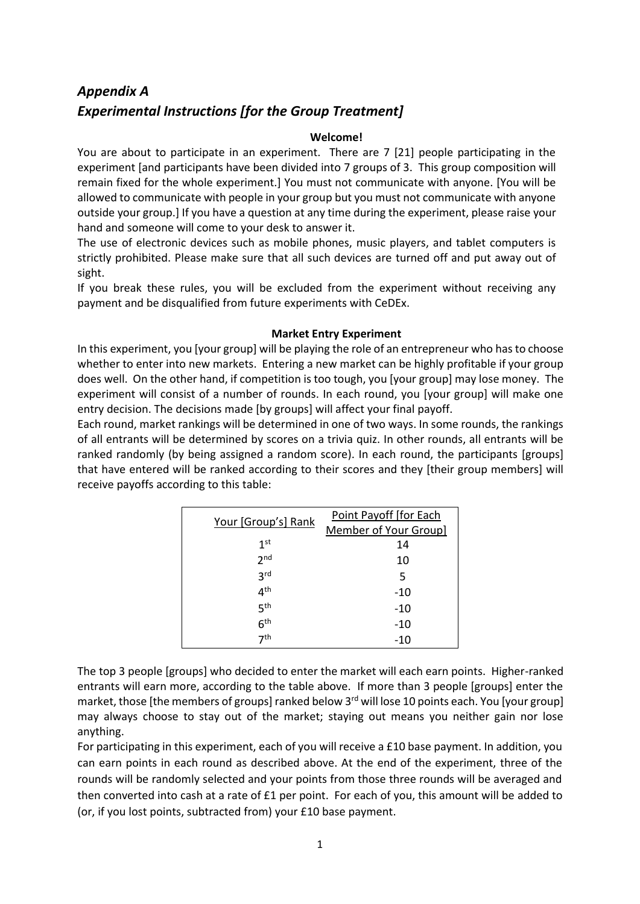# *Appendix A Experimental Instructions [for the Group Treatment]*

## **Welcome!**

You are about to participate in an experiment. There are 7 [21] people participating in the experiment [and participants have been divided into 7 groups of 3. This group composition will remain fixed for the whole experiment.] You must not communicate with anyone. [You will be allowed to communicate with people in your group but you must not communicate with anyone outside your group.] If you have a question at any time during the experiment, please raise your hand and someone will come to your desk to answer it.

The use of electronic devices such as mobile phones, music players, and tablet computers is strictly prohibited. Please make sure that all such devices are turned off and put away out of sight.

If you break these rules, you will be excluded from the experiment without receiving any payment and be disqualified from future experiments with CeDEx.

## **Market Entry Experiment**

In this experiment, you [your group] will be playing the role of an entrepreneur who has to choose whether to enter into new markets. Entering a new market can be highly profitable if your group does well. On the other hand, if competition is too tough, you [your group] may lose money. The experiment will consist of a number of rounds. In each round, you [your group] will make one entry decision. The decisions made [by groups] will affect your final payoff.

Each round, market rankings will be determined in one of two ways. In some rounds, the rankings of all entrants will be determined by scores on a trivia quiz. In other rounds, all entrants will be ranked randomly (by being assigned a random score). In each round, the participants [groups] that have entered will be ranked according to their scores and they [their group members] will receive payoffs according to this table:

| Your [Group's] Rank | Point Payoff [for Each |  |  |  |
|---------------------|------------------------|--|--|--|
|                     | Member of Your Group]  |  |  |  |
| 1 <sup>st</sup>     | 14                     |  |  |  |
| 2 <sub>nd</sub>     | 10                     |  |  |  |
| 3 <sub>rd</sub>     | 5                      |  |  |  |
| 4 <sup>th</sup>     | -10                    |  |  |  |
| 5 <sup>th</sup>     | -10                    |  |  |  |
| 6 <sup>th</sup>     | $-10$                  |  |  |  |
| 7 <sup>th</sup>     | -10                    |  |  |  |

The top 3 people [groups] who decided to enter the market will each earn points. Higher-ranked entrants will earn more, according to the table above. If more than 3 people [groups] enter the market, those [the members of groups] ranked below 3<sup>rd</sup> will lose 10 points each. You [your group] may always choose to stay out of the market; staying out means you neither gain nor lose anything.

For participating in this experiment, each of you will receive a £10 base payment. In addition, you can earn points in each round as described above. At the end of the experiment, three of the rounds will be randomly selected and your points from those three rounds will be averaged and then converted into cash at a rate of  $E1$  per point. For each of you, this amount will be added to (or, if you lost points, subtracted from) your £10 base payment.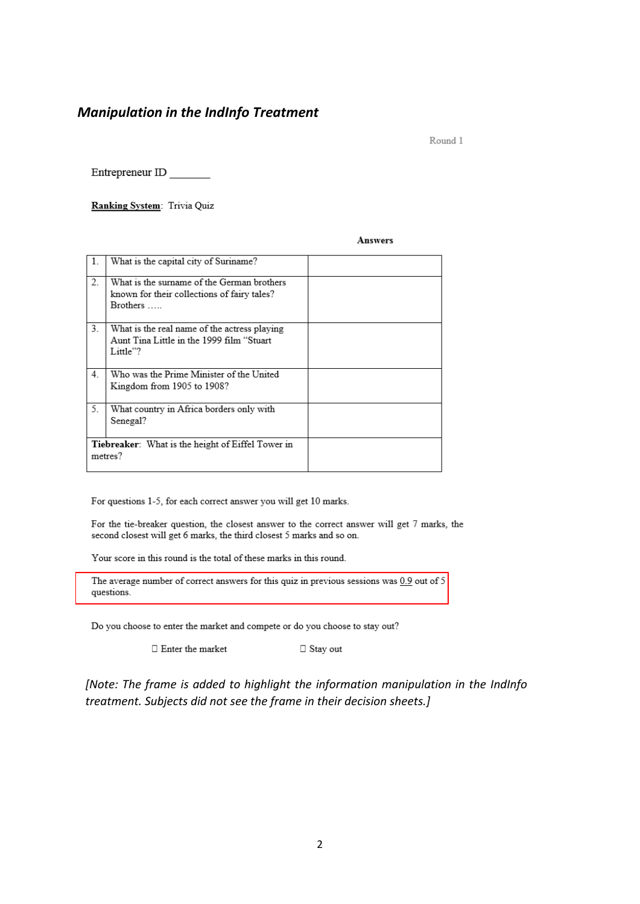## *Manipulation in the IndInfo Treatment*

Round 1

Entrepreneur ID

Ranking System: Trivia Quiz

#### **Answers**

|    | What is the capital city of Suriname?                    |  |
|----|----------------------------------------------------------|--|
| 2. | What is the surname of the German brothers               |  |
|    | known for their collections of fairy tales?              |  |
|    | <b>Brothers</b>                                          |  |
| 3. | What is the real name of the actress playing             |  |
|    | Aunt Tina Little in the 1999 film "Stuart                |  |
|    | Little"?                                                 |  |
|    |                                                          |  |
| 4. | Who was the Prime Minister of the United                 |  |
|    | Kingdom from 1905 to 1908?                               |  |
|    |                                                          |  |
| 5. | What country in Africa borders only with                 |  |
|    | Senegal?                                                 |  |
|    |                                                          |  |
|    | <b>Tiebreaker:</b> What is the height of Eiffel Tower in |  |
|    | metres?                                                  |  |
|    |                                                          |  |

For questions 1-5, for each correct answer you will get 10 marks.

For the tie-breaker question, the closest answer to the correct answer will get 7 marks, the second closest will get 6 marks, the third closest 5 marks and so on.

Your score in this round is the total of these marks in this round.

The average number of correct answers for this quiz in previous sessions was  $0.9$  out of 5 questions.

Do you choose to enter the market and compete or do you choose to stay out?

 $\Box$  Enter the market

 $\Box$  Stay out

*[Note: The frame is added to highlight the information manipulation in the IndInfo treatment. Subjects did not see the frame in their decision sheets.]*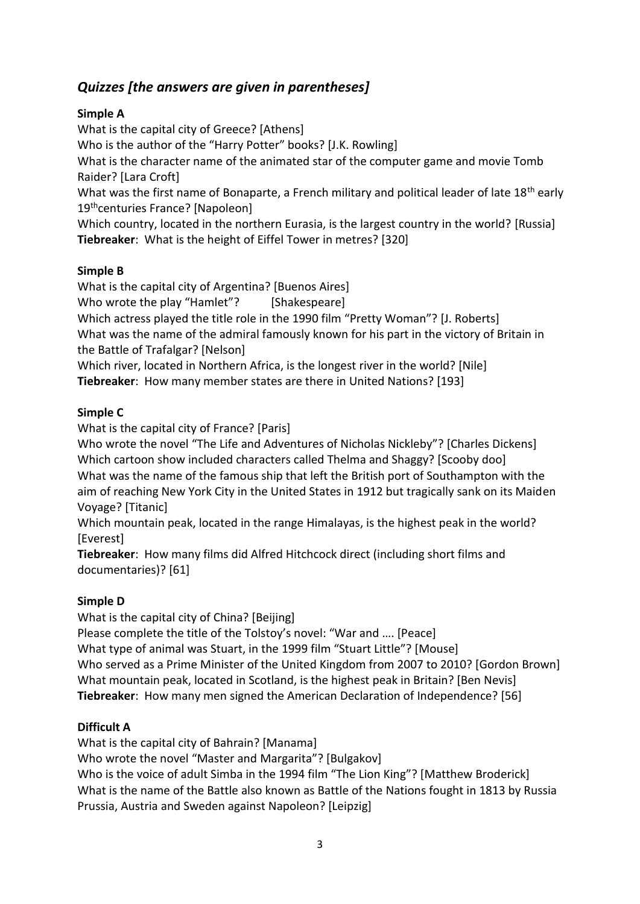# *Quizzes [the answers are given in parentheses]*

## **Simple A**

What is the capital city of Greece? [Athens] Who is the author of the "Harry Potter" books? [J.K. Rowling] What is the character name of the animated star of the computer game and movie Tomb Raider? [Lara Croft] What was the first name of Bonaparte, a French military and political leader of late  $18<sup>th</sup>$  early 19<sup>th</sup>centuries France? [Napoleon] Which country, located in the northern Eurasia, is the largest country in the world? [Russia] **Tiebreaker**: What is the height of Eiffel Tower in metres? [320]

## **Simple B**

What is the capital city of Argentina? [Buenos Aires]

Who wrote the play "Hamlet"? [Shakespeare]

Which actress played the title role in the 1990 film "Pretty Woman"? [J. Roberts] What was the name of the admiral famously known for his part in the victory of Britain in the Battle of Trafalgar? [Nelson]

Which river, located in Northern Africa, is the longest river in the world? [Nile]

**Tiebreaker**: How many member states are there in United Nations? [193]

## **Simple C**

What is the capital city of France? [Paris]

Who wrote the novel "The Life and Adventures of Nicholas Nickleby"? [Charles Dickens] Which cartoon show included characters called Thelma and Shaggy? [Scooby doo] What was the name of the famous ship that left the British port of Southampton with the aim of reaching New York City in the United States in 1912 but tragically sank on its Maiden Voyage? [Titanic]

Which mountain peak, located in the range Himalayas, is the highest peak in the world? [Everest]

**Tiebreaker**: How many films did Alfred Hitchcock direct (including short films and documentaries)? [61]

## **Simple D**

What is the capital city of China? [Beijing]

Please complete the title of the Tolstoy's novel: "War and …. [Peace] What type of animal was Stuart, in the 1999 film "Stuart Little"? [Mouse] Who served as a Prime Minister of the United Kingdom from 2007 to 2010? [Gordon Brown] What mountain peak, located in Scotland, is the highest peak in Britain? [Ben Nevis] **Tiebreaker**: How many men signed the American Declaration of Independence? [56]

## **Difficult A**

What is the capital city of Bahrain? [Manama] Who wrote the novel "Master and Margarita"? [Bulgakov] Who is the voice of adult Simba in the 1994 film "The Lion King"? [[Matthew](http://www.imdb.com/name/nm0001447/) Broderick] What is the name of the Battle also known as Battle of the Nations fought in 1813 by Russia Prussia, Austria and Sweden against Napoleon? [Leipzig]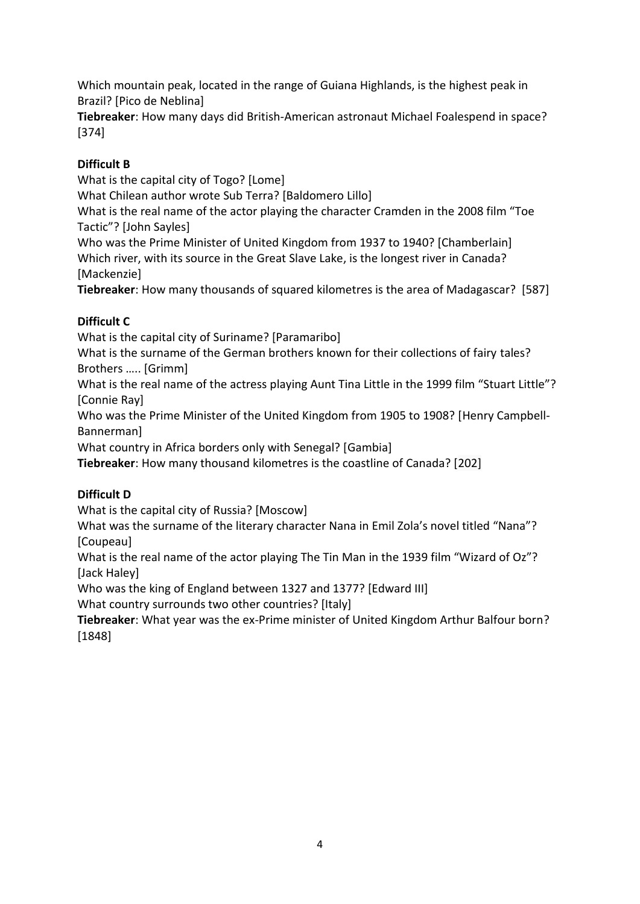Which mountain peak, located in the range of Guiana Highlands, is the highest peak in Brazil? [Pico de Neblina]

**Tiebreaker**: How many days did British-American astronaut Michael Foalespend in space? [374]

# **Difficult B**

What is the capital city of Togo? [Lome]

What Chilean author wrote Sub Terra? [Baldomero Lillo]

What is the real name of the actor playing the character Cramden in the 2008 film "Toe Tactic"? [[John Sayles\]](http://www.imdb.com/name/nm0000626/)

Who was the Prime Minister of United Kingdom from 1937 to 1940? [Chamberlain] Which river, with its source in th[e Great Slave Lake,](http://en.wikipedia.org/wiki/Great_Slave_Lake) is the longest river in Canada? [Mackenzie]

**Tiebreaker**: How many thousands of squared kilometres is the area of Madagascar? [587]

## **Difficult C**

What is the capital city of Suriname? [Paramaribo]

What is the surname of the German brothers known for their collections of fairy tales? Brothers ….. [Grimm]

What is the real name of the actress playing Aunt Tina Little in the 1999 film "Stuart Little"? [Connie Ray]

Who was the Prime Minister of the United Kingdom from 1905 to 1908? [Henry [Campbell-](http://en.wikipedia.org/wiki/Henry_Campbell-Bannerman)[Bannerman\]](http://en.wikipedia.org/wiki/Henry_Campbell-Bannerman)

What country in Africa borders only with Senegal? [Gambia]

**Tiebreaker**: How many thousand kilometres is the coastline of Canada? [202]

# **Difficult D**

What is the capital city of Russia? [Moscow]

What was the surname of the literary character Nana in Emil Zola's novel titled "Nana"? [Coupeau]

What is the real name of the actor playing The Tin Man in the 1939 film "Wizard of Oz"? [\[Jack Haley\]](http://www.imdb.com/name/nm0355095/)

Who was the king of England between 1327 and 1377? [Edward III]

What country surrounds two other countries? [Italy]

**Tiebreaker**: What year was the ex-Prime minister of United Kingdom Arthur Balfour born? [1848]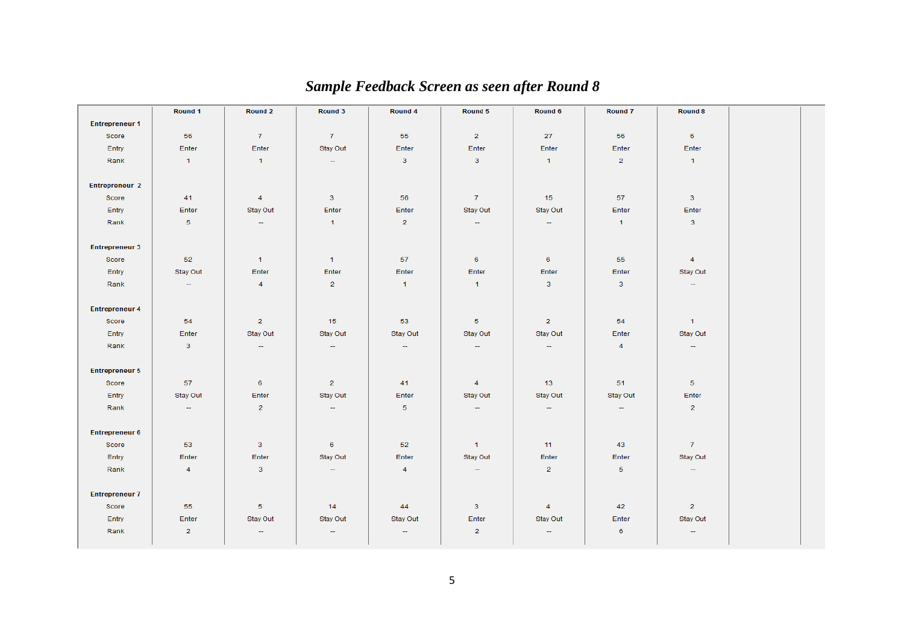|                       | Round 1        | Round 2                  | Round 3        | Round 4                  | Round 5        | Round 6                  | <b>Round 7</b> | <b>Round 8</b>           |  |
|-----------------------|----------------|--------------------------|----------------|--------------------------|----------------|--------------------------|----------------|--------------------------|--|
| <b>Entrepreneur 1</b> |                |                          |                |                          |                |                          |                |                          |  |
| Score                 | 56             | 7 <sup>7</sup>           | 7 <sup>7</sup> | 55                       | $\overline{2}$ | 27                       | 56             | 6                        |  |
| Entry                 | Enter          | Enter                    | Stay Out       | Enter                    | Enter          | Enter                    | Enter          | Enter                    |  |
| Rank                  | $\vert$ 1      | 1                        | $\sim$         | 3 <sup>7</sup>           | 3 <sup>7</sup> | $\mathbf{1}$             | $\overline{2}$ | $\blacksquare$           |  |
|                       |                |                          |                |                          |                |                          |                |                          |  |
| <b>Entrepreneur 2</b> |                |                          |                |                          |                |                          |                |                          |  |
| Score                 | 41             | $\overline{4}$           | 3 <sup>7</sup> | 56                       | 7 <sup>7</sup> | 15                       | 57             | $\overline{\mathbf{3}}$  |  |
| Entry                 | Enter          | Stay Out                 | Enter          | Enter                    | Stay Out       | Stay Out                 | Enter          | Enter                    |  |
| Rank                  | 5 <sub>1</sub> | -                        | $\mathbf{1}$   | $\overline{2}$           | $\sim$         | $\overline{\phantom{a}}$ | $\mathbf{1}$   | $\mathbf{3}$             |  |
|                       |                |                          |                |                          |                |                          |                |                          |  |
| <b>Entrepreneur 3</b> |                |                          |                |                          |                |                          |                |                          |  |
| Score                 | 52             | $\overline{1}$           | $\mathbf{1}$   | 57                       | 6              | 6                        | 55             | $\overline{4}$           |  |
| Entry                 | Stay Out       | Enter                    | Enter          | Enter                    | Enter          | Enter                    | Enter          | Stay Out                 |  |
| Rank                  | $\sim$         | $\overline{4}$           | $\overline{2}$ | $\overline{1}$           | $\mathbf{1}$   | 3 <sup>7</sup>           | 3 <sup>°</sup> | $\overline{\phantom{m}}$ |  |
|                       |                |                          |                |                          |                |                          |                |                          |  |
| <b>Entrepreneur 4</b> |                |                          |                |                          |                |                          |                |                          |  |
| Score                 | 54             | $\overline{2}$           | 15             | 53                       | 5 <sub>1</sub> | $\overline{2}$           | 54             | $\mathbf{1}$             |  |
| Entry                 | Enter          | Stay Out                 | Stay Out       | Stay Out                 | Stay Out       | Stay Out                 | Enter          | Stay Out                 |  |
| Rank                  | 3 <sup>7</sup> | $\overline{\phantom{m}}$ | $\sim$         | $\overline{\phantom{m}}$ | $\sim$         | $\overline{\phantom{m}}$ | $\overline{4}$ | $\overline{\phantom{m}}$ |  |
|                       |                |                          |                |                          |                |                          |                |                          |  |
| <b>Entrepreneur 5</b> |                |                          |                |                          |                |                          |                |                          |  |
| Score                 | 57             | 6 <sup>1</sup>           | $\overline{2}$ | 41                       | $\overline{4}$ | 13 <sub>1</sub>          | 51             | 5 <sub>1</sub>           |  |
| Entry                 | Stay Out       | Enter                    | Stay Out       | Enter                    | Stay Out       | Stay Out                 | Stay Out       | Enter                    |  |
| Rank                  | $\sim$         | $\overline{2}$           | $\sim$         | 5 <sub>5</sub>           | $\sim$         | $\sim$                   | $\sim$         | $\overline{2}$           |  |
|                       |                |                          |                |                          |                |                          |                |                          |  |
| <b>Entrepreneur 6</b> |                |                          |                |                          |                |                          |                |                          |  |
| Score                 | 53             | 3 <sup>7</sup>           | 6 <sup>1</sup> | 52 <sub>2</sub>          | $\mathbf{1}$   | 11                       | 43             | 7 <sup>7</sup>           |  |
| Entry                 | Enter          | Enter                    | Stay Out       | Enter                    | Stay Out       | Enter                    | Enter          | Stay Out                 |  |
| Rank                  | $\overline{4}$ | 3                        | $\sim$ .       | $\overline{4}$           | $\sim$         | $\overline{2}$           | 5 <sub>1</sub> | $\sim$                   |  |
|                       |                |                          |                |                          |                |                          |                |                          |  |
| <b>Entrepreneur 7</b> |                |                          |                |                          |                |                          |                |                          |  |
| Score                 | 55             | 5 <sub>1</sub>           | 14             | 44                       | 3 <sup>7</sup> | $\overline{4}$           | 42             | $\overline{2}$           |  |
| Entry                 | Enter          | Stay Out                 | Stay Out       | Stay Out                 | Enter          | Stay Out                 | Enter          | Stay Out                 |  |
| Rank                  | $\overline{2}$ | $\overline{\phantom{m}}$ | $\sim$         | $\overline{\phantom{m}}$ | $\overline{2}$ | $\overline{\phantom{a}}$ | 6              | $\rightarrow$            |  |
|                       |                |                          |                |                          |                |                          |                |                          |  |

# *Sample Feedback Screen as seen after Round 8*